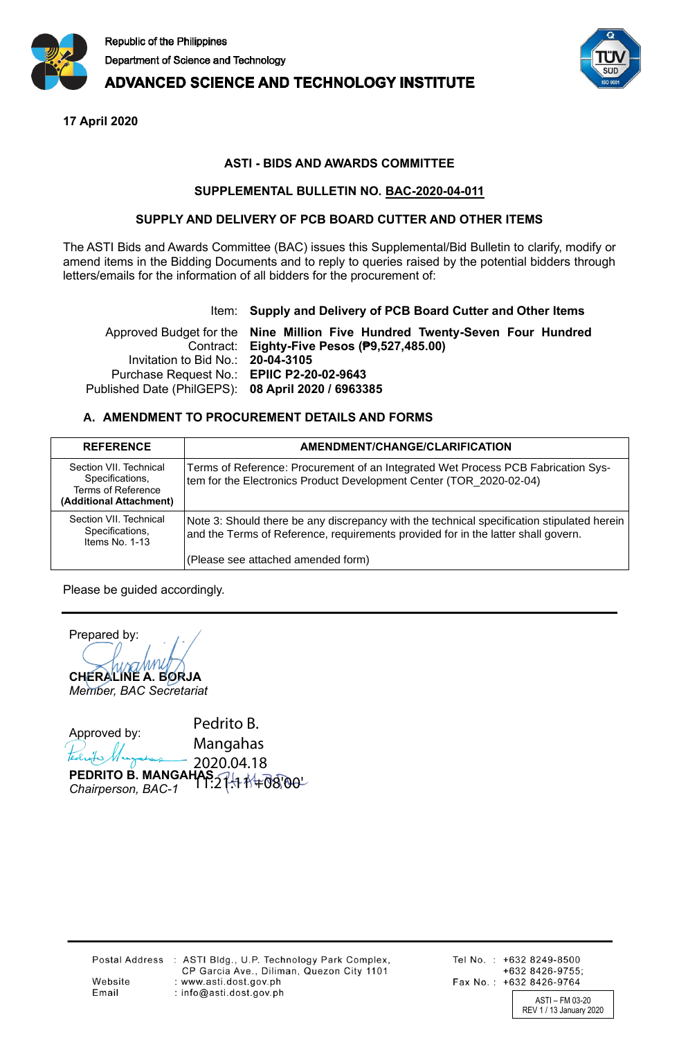

## **ADVANCED SCIENCE AND TECHNOLOGY INSTITUTE**

**17 April 2020**

## **ASTI - BIDS AND AWARDS COMMITTEE**

## **SUPPLEMENTAL BULLETIN NO. BAC-2020-04-011**

## **SUPPLY AND DELIVERY OF PCB BOARD CUTTER AND OTHER ITEMS**

The ASTI Bids and Awards Committee (BAC) issues this Supplemental/Bid Bulletin to clarify, modify or amend items in the Bidding Documents and to reply to queries raised by the potential bidders through letters/emails for the information of all bidders for the procurement of:

### Item: **Supply and Delivery of PCB Board Cutter and Other Items**

Approved Budget for the **Nine Million Five Hundred Twenty-Seven Four Hundred**  Contract: **Eighty-Five Pesos (₱9,527,485.00)** Invitation to Bid No.: **20-04-3105** Purchase Request No.: **EPIIC P2-20-02-9643** Published Date (PhilGEPS): **08 April 2020 / 6963385**

## **A. AMENDMENT TO PROCUREMENT DETAILS AND FORMS**

| <b>REFERENCE</b>                                                                           | AMENDMENT/CHANGE/CLARIFICATION                                                                                                                                                  |
|--------------------------------------------------------------------------------------------|---------------------------------------------------------------------------------------------------------------------------------------------------------------------------------|
| Section VII. Technical<br>Specifications,<br>Terms of Reference<br>(Additional Attachment) | Terms of Reference: Procurement of an Integrated Wet Process PCB Fabrication Sys-<br>tem for the Electronics Product Development Center (TOR 2020-02-04)                        |
| Section VII. Technical<br>Specifications,<br>Items No. 1-13                                | Note 3: Should there be any discrepancy with the technical specification stipulated herein<br>and the Terms of Reference, requirements provided for in the latter shall govern. |
|                                                                                            | (Please see attached amended form)                                                                                                                                              |

Please be guided accordingly.

Prepared by: **CHERALINE A. BORJA** *Member, BAC Secretariat*

Approved by: **PEDRITO B. MANGAHA** *Chairperson, BAC-1* Pedrito B. Mangahas 2020.04.18 **AS**:27:11 11 +08'00'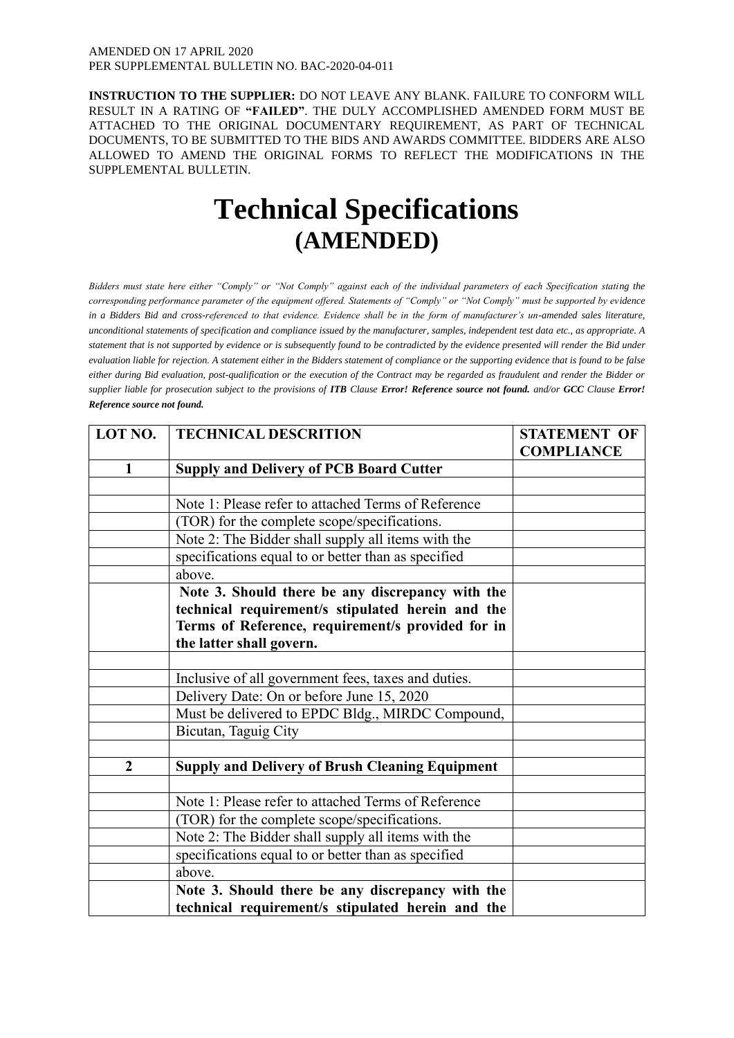**INSTRUCTION TO THE SUPPLIER:** DO NOT LEAVE ANY BLANK. FAILURE TO CONFORM WILL RESULT IN A RATING OF **"FAILED"**. THE DULY ACCOMPLISHED AMENDED FORM MUST BE ATTACHED TO THE ORIGINAL DOCUMENTARY REQUIREMENT, AS PART OF TECHNICAL DOCUMENTS, TO BE SUBMITTED TO THE BIDS AND AWARDS COMMITTEE. BIDDERS ARE ALSO ALLOWED TO AMEND THE ORIGINAL FORMS TO REFLECT THE MODIFICATIONS IN THE SUPPLEMENTAL BULLETIN.

# **Technical Specifications (AMENDED)**

*Bidders must state here either "Comply" or "Not Comply" against each of the individual parameters of each Specification stating the corresponding performance parameter of the equipment offered. Statements of "Comply" or "Not Comply" must be supported by evidence in a Bidders Bid and cross-referenced to that evidence. Evidence shall be in the form of manufacturer's un-amended sales literature, unconditional statements of specification and compliance issued by the manufacturer, samples, independent test data etc., as appropriate. A statement that is not supported by evidence or is subsequently found to be contradicted by the evidence presented will render the Bid under evaluation liable for rejection. A statement either in the Bidders statement of compliance or the supporting evidence that is found to be false either during Bid evaluation, post-qualification or the execution of the Contract may be regarded as fraudulent and render the Bidder or supplier liable for prosecution subject to the provisions of <i>ITB* Clause *Error! Reference source not found. and/or GCC* Clause *Error! Reference source not found.*

| LOT NO.        | <b>TECHNICAL DESCRITION</b>                            | <b>STATEMENT OF</b> |
|----------------|--------------------------------------------------------|---------------------|
|                |                                                        | <b>COMPLIANCE</b>   |
| $\mathbf{1}$   | <b>Supply and Delivery of PCB Board Cutter</b>         |                     |
|                |                                                        |                     |
|                | Note 1: Please refer to attached Terms of Reference    |                     |
|                | (TOR) for the complete scope/specifications.           |                     |
|                | Note 2: The Bidder shall supply all items with the     |                     |
|                | specifications equal to or better than as specified    |                     |
|                | above.                                                 |                     |
|                | Note 3. Should there be any discrepancy with the       |                     |
|                | technical requirement/s stipulated herein and the      |                     |
|                | Terms of Reference, requirement/s provided for in      |                     |
|                | the latter shall govern.                               |                     |
|                |                                                        |                     |
|                | Inclusive of all government fees, taxes and duties.    |                     |
|                | Delivery Date: On or before June 15, 2020              |                     |
|                | Must be delivered to EPDC Bldg., MIRDC Compound,       |                     |
|                | Bicutan, Taguig City                                   |                     |
|                |                                                        |                     |
| $\overline{2}$ | <b>Supply and Delivery of Brush Cleaning Equipment</b> |                     |
|                |                                                        |                     |
|                | Note 1: Please refer to attached Terms of Reference    |                     |
|                | (TOR) for the complete scope/specifications.           |                     |
|                | Note 2: The Bidder shall supply all items with the     |                     |
|                | specifications equal to or better than as specified    |                     |
|                | above.                                                 |                     |
|                | Note 3. Should there be any discrepancy with the       |                     |
|                | technical requirement/s stipulated herein and the      |                     |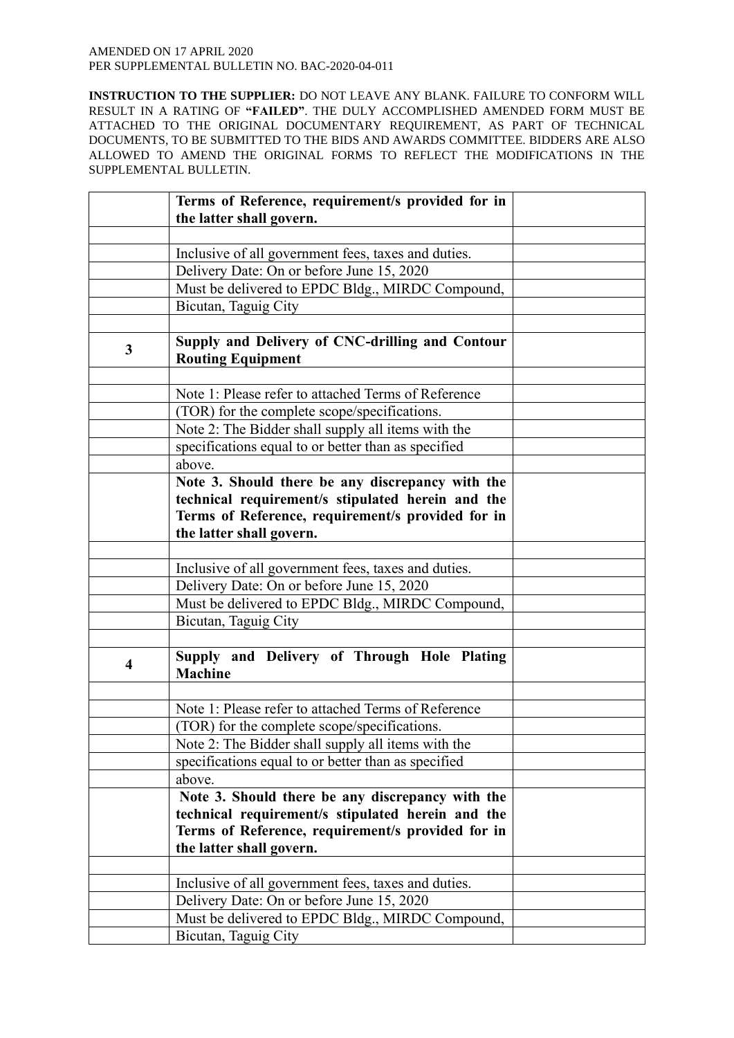|                         | Terms of Reference, requirement/s provided for in<br>the latter shall govern.                                                                                                                                                                                                                                                                                                                                                                                                                                                                                                                                                                                                                                                                                                                                                                                                                                                          |  |
|-------------------------|----------------------------------------------------------------------------------------------------------------------------------------------------------------------------------------------------------------------------------------------------------------------------------------------------------------------------------------------------------------------------------------------------------------------------------------------------------------------------------------------------------------------------------------------------------------------------------------------------------------------------------------------------------------------------------------------------------------------------------------------------------------------------------------------------------------------------------------------------------------------------------------------------------------------------------------|--|
|                         |                                                                                                                                                                                                                                                                                                                                                                                                                                                                                                                                                                                                                                                                                                                                                                                                                                                                                                                                        |  |
|                         | Inclusive of all government fees, taxes and duties.                                                                                                                                                                                                                                                                                                                                                                                                                                                                                                                                                                                                                                                                                                                                                                                                                                                                                    |  |
|                         | Delivery Date: On or before June 15, 2020                                                                                                                                                                                                                                                                                                                                                                                                                                                                                                                                                                                                                                                                                                                                                                                                                                                                                              |  |
|                         |                                                                                                                                                                                                                                                                                                                                                                                                                                                                                                                                                                                                                                                                                                                                                                                                                                                                                                                                        |  |
|                         | Must be delivered to EPDC Bldg., MIRDC Compound,                                                                                                                                                                                                                                                                                                                                                                                                                                                                                                                                                                                                                                                                                                                                                                                                                                                                                       |  |
|                         | Bicutan, Taguig City                                                                                                                                                                                                                                                                                                                                                                                                                                                                                                                                                                                                                                                                                                                                                                                                                                                                                                                   |  |
|                         |                                                                                                                                                                                                                                                                                                                                                                                                                                                                                                                                                                                                                                                                                                                                                                                                                                                                                                                                        |  |
| $\mathbf{3}$            | Supply and Delivery of CNC-drilling and Contour<br><b>Routing Equipment</b>                                                                                                                                                                                                                                                                                                                                                                                                                                                                                                                                                                                                                                                                                                                                                                                                                                                            |  |
|                         |                                                                                                                                                                                                                                                                                                                                                                                                                                                                                                                                                                                                                                                                                                                                                                                                                                                                                                                                        |  |
|                         | Note 1: Please refer to attached Terms of Reference                                                                                                                                                                                                                                                                                                                                                                                                                                                                                                                                                                                                                                                                                                                                                                                                                                                                                    |  |
|                         | (TOR) for the complete scope/specifications.                                                                                                                                                                                                                                                                                                                                                                                                                                                                                                                                                                                                                                                                                                                                                                                                                                                                                           |  |
|                         | Note 2: The Bidder shall supply all items with the                                                                                                                                                                                                                                                                                                                                                                                                                                                                                                                                                                                                                                                                                                                                                                                                                                                                                     |  |
|                         |                                                                                                                                                                                                                                                                                                                                                                                                                                                                                                                                                                                                                                                                                                                                                                                                                                                                                                                                        |  |
|                         | specifications equal to or better than as specified<br>above.                                                                                                                                                                                                                                                                                                                                                                                                                                                                                                                                                                                                                                                                                                                                                                                                                                                                          |  |
|                         |                                                                                                                                                                                                                                                                                                                                                                                                                                                                                                                                                                                                                                                                                                                                                                                                                                                                                                                                        |  |
|                         | Note 3. Should there be any discrepancy with the                                                                                                                                                                                                                                                                                                                                                                                                                                                                                                                                                                                                                                                                                                                                                                                                                                                                                       |  |
|                         | technical requirement/s stipulated herein and the                                                                                                                                                                                                                                                                                                                                                                                                                                                                                                                                                                                                                                                                                                                                                                                                                                                                                      |  |
|                         |                                                                                                                                                                                                                                                                                                                                                                                                                                                                                                                                                                                                                                                                                                                                                                                                                                                                                                                                        |  |
|                         |                                                                                                                                                                                                                                                                                                                                                                                                                                                                                                                                                                                                                                                                                                                                                                                                                                                                                                                                        |  |
|                         |                                                                                                                                                                                                                                                                                                                                                                                                                                                                                                                                                                                                                                                                                                                                                                                                                                                                                                                                        |  |
|                         |                                                                                                                                                                                                                                                                                                                                                                                                                                                                                                                                                                                                                                                                                                                                                                                                                                                                                                                                        |  |
|                         |                                                                                                                                                                                                                                                                                                                                                                                                                                                                                                                                                                                                                                                                                                                                                                                                                                                                                                                                        |  |
|                         |                                                                                                                                                                                                                                                                                                                                                                                                                                                                                                                                                                                                                                                                                                                                                                                                                                                                                                                                        |  |
|                         |                                                                                                                                                                                                                                                                                                                                                                                                                                                                                                                                                                                                                                                                                                                                                                                                                                                                                                                                        |  |
|                         |                                                                                                                                                                                                                                                                                                                                                                                                                                                                                                                                                                                                                                                                                                                                                                                                                                                                                                                                        |  |
| $\overline{\mathbf{4}}$ |                                                                                                                                                                                                                                                                                                                                                                                                                                                                                                                                                                                                                                                                                                                                                                                                                                                                                                                                        |  |
|                         |                                                                                                                                                                                                                                                                                                                                                                                                                                                                                                                                                                                                                                                                                                                                                                                                                                                                                                                                        |  |
|                         |                                                                                                                                                                                                                                                                                                                                                                                                                                                                                                                                                                                                                                                                                                                                                                                                                                                                                                                                        |  |
|                         |                                                                                                                                                                                                                                                                                                                                                                                                                                                                                                                                                                                                                                                                                                                                                                                                                                                                                                                                        |  |
|                         |                                                                                                                                                                                                                                                                                                                                                                                                                                                                                                                                                                                                                                                                                                                                                                                                                                                                                                                                        |  |
|                         |                                                                                                                                                                                                                                                                                                                                                                                                                                                                                                                                                                                                                                                                                                                                                                                                                                                                                                                                        |  |
|                         |                                                                                                                                                                                                                                                                                                                                                                                                                                                                                                                                                                                                                                                                                                                                                                                                                                                                                                                                        |  |
|                         |                                                                                                                                                                                                                                                                                                                                                                                                                                                                                                                                                                                                                                                                                                                                                                                                                                                                                                                                        |  |
|                         |                                                                                                                                                                                                                                                                                                                                                                                                                                                                                                                                                                                                                                                                                                                                                                                                                                                                                                                                        |  |
|                         |                                                                                                                                                                                                                                                                                                                                                                                                                                                                                                                                                                                                                                                                                                                                                                                                                                                                                                                                        |  |
|                         |                                                                                                                                                                                                                                                                                                                                                                                                                                                                                                                                                                                                                                                                                                                                                                                                                                                                                                                                        |  |
|                         |                                                                                                                                                                                                                                                                                                                                                                                                                                                                                                                                                                                                                                                                                                                                                                                                                                                                                                                                        |  |
|                         |                                                                                                                                                                                                                                                                                                                                                                                                                                                                                                                                                                                                                                                                                                                                                                                                                                                                                                                                        |  |
|                         |                                                                                                                                                                                                                                                                                                                                                                                                                                                                                                                                                                                                                                                                                                                                                                                                                                                                                                                                        |  |
|                         |                                                                                                                                                                                                                                                                                                                                                                                                                                                                                                                                                                                                                                                                                                                                                                                                                                                                                                                                        |  |
|                         |                                                                                                                                                                                                                                                                                                                                                                                                                                                                                                                                                                                                                                                                                                                                                                                                                                                                                                                                        |  |
|                         | Terms of Reference, requirement/s provided for in<br>the latter shall govern.<br>Inclusive of all government fees, taxes and duties.<br>Delivery Date: On or before June 15, 2020<br>Must be delivered to EPDC Bldg., MIRDC Compound,<br>Bicutan, Taguig City<br>Supply and Delivery of Through Hole Plating<br><b>Machine</b><br>Note 1: Please refer to attached Terms of Reference<br>(TOR) for the complete scope/specifications.<br>Note 2: The Bidder shall supply all items with the<br>specifications equal to or better than as specified<br>above.<br>Note 3. Should there be any discrepancy with the<br>technical requirement/s stipulated herein and the<br>Terms of Reference, requirement/s provided for in<br>the latter shall govern.<br>Inclusive of all government fees, taxes and duties.<br>Delivery Date: On or before June 15, 2020<br>Must be delivered to EPDC Bldg., MIRDC Compound,<br>Bicutan, Taguig City |  |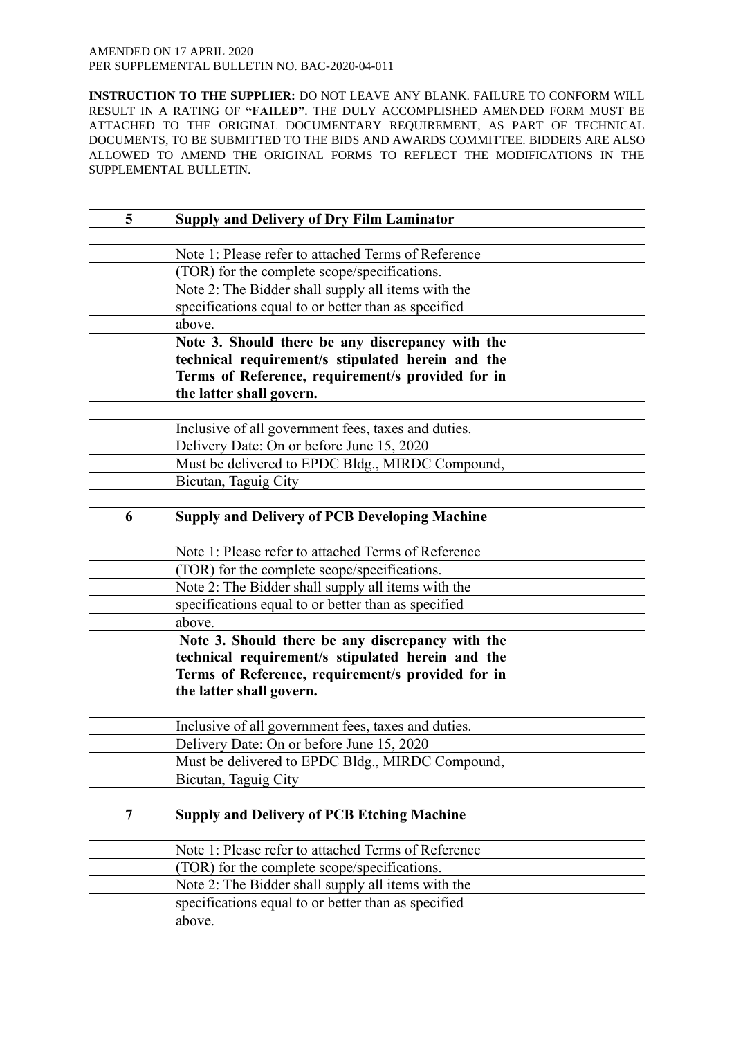| 5              | <b>Supply and Delivery of Dry Film Laminator</b>     |  |
|----------------|------------------------------------------------------|--|
|                |                                                      |  |
|                | Note 1: Please refer to attached Terms of Reference  |  |
|                | (TOR) for the complete scope/specifications.         |  |
|                | Note 2: The Bidder shall supply all items with the   |  |
|                | specifications equal to or better than as specified  |  |
|                | above.                                               |  |
|                | Note 3. Should there be any discrepancy with the     |  |
|                | technical requirement/s stipulated herein and the    |  |
|                | Terms of Reference, requirement/s provided for in    |  |
|                | the latter shall govern.                             |  |
|                |                                                      |  |
|                | Inclusive of all government fees, taxes and duties.  |  |
|                | Delivery Date: On or before June 15, 2020            |  |
|                | Must be delivered to EPDC Bldg., MIRDC Compound,     |  |
|                | Bicutan, Taguig City                                 |  |
|                |                                                      |  |
| 6              | <b>Supply and Delivery of PCB Developing Machine</b> |  |
|                |                                                      |  |
|                | Note 1: Please refer to attached Terms of Reference  |  |
|                | (TOR) for the complete scope/specifications.         |  |
|                | Note 2: The Bidder shall supply all items with the   |  |
|                | specifications equal to or better than as specified  |  |
|                | above.                                               |  |
|                | Note 3. Should there be any discrepancy with the     |  |
|                | technical requirement/s stipulated herein and the    |  |
|                | Terms of Reference, requirement/s provided for in    |  |
|                | the latter shall govern.                             |  |
|                |                                                      |  |
|                | Inclusive of all government fees, taxes and duties.  |  |
|                | Delivery Date: On or before June 15, 2020            |  |
|                | Must be delivered to EPDC Bldg., MIRDC Compound,     |  |
|                | Bicutan, Taguig City                                 |  |
|                |                                                      |  |
| $\overline{7}$ | <b>Supply and Delivery of PCB Etching Machine</b>    |  |
|                |                                                      |  |
|                | Note 1: Please refer to attached Terms of Reference  |  |
|                | (TOR) for the complete scope/specifications.         |  |
|                | Note 2: The Bidder shall supply all items with the   |  |
|                | specifications equal to or better than as specified  |  |
|                | above.                                               |  |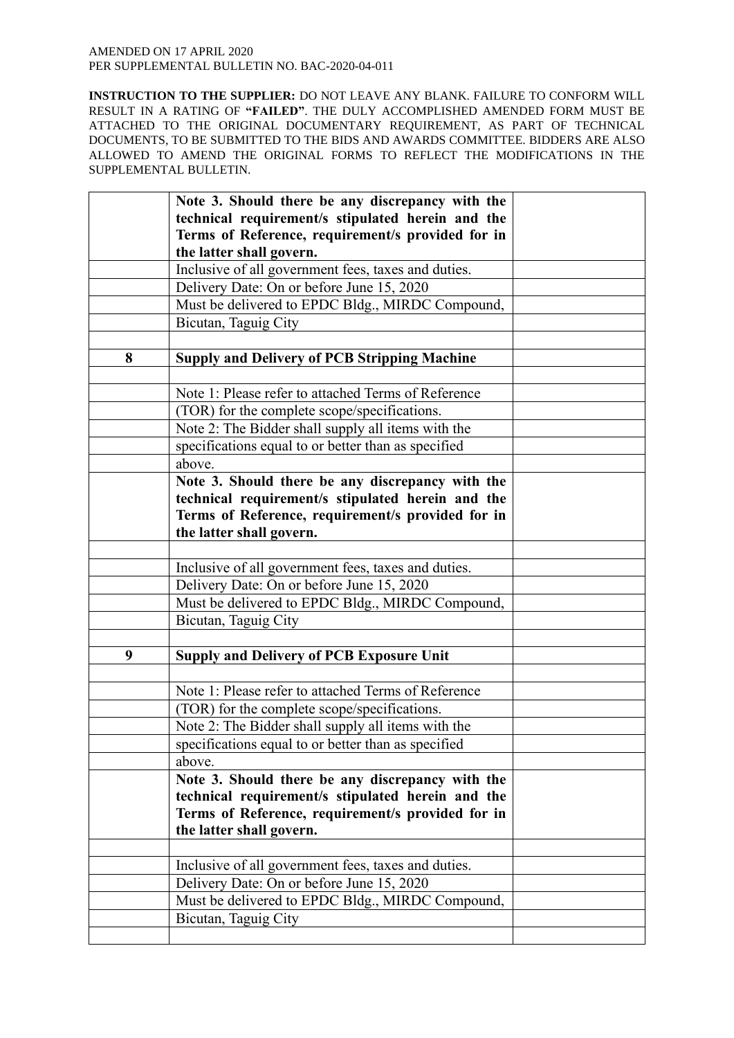|   | Note 3. Should there be any discrepancy with the    |  |
|---|-----------------------------------------------------|--|
|   | technical requirement/s stipulated herein and the   |  |
|   | Terms of Reference, requirement/s provided for in   |  |
|   | the latter shall govern.                            |  |
|   | Inclusive of all government fees, taxes and duties. |  |
|   | Delivery Date: On or before June 15, 2020           |  |
|   | Must be delivered to EPDC Bldg., MIRDC Compound,    |  |
|   | Bicutan, Taguig City                                |  |
|   |                                                     |  |
| 8 | <b>Supply and Delivery of PCB Stripping Machine</b> |  |
|   |                                                     |  |
|   | Note 1: Please refer to attached Terms of Reference |  |
|   | (TOR) for the complete scope/specifications.        |  |
|   | Note 2: The Bidder shall supply all items with the  |  |
|   | specifications equal to or better than as specified |  |
|   | above.                                              |  |
|   | Note 3. Should there be any discrepancy with the    |  |
|   | technical requirement/s stipulated herein and the   |  |
|   | Terms of Reference, requirement/s provided for in   |  |
|   | the latter shall govern.                            |  |
|   |                                                     |  |
|   | Inclusive of all government fees, taxes and duties. |  |
|   | Delivery Date: On or before June 15, 2020           |  |
|   | Must be delivered to EPDC Bldg., MIRDC Compound,    |  |
|   | Bicutan, Taguig City                                |  |
|   |                                                     |  |
| 9 | <b>Supply and Delivery of PCB Exposure Unit</b>     |  |
|   |                                                     |  |
|   | Note 1: Please refer to attached Terms of Reference |  |
|   | (TOR) for the complete scope/specifications.        |  |
|   | Note 2: The Bidder shall supply all items with the  |  |
|   | specifications equal to or better than as specified |  |
|   | above.                                              |  |
|   | Note 3. Should there be any discrepancy with the    |  |
|   | technical requirement/s stipulated herein and the   |  |
|   | Terms of Reference, requirement/s provided for in   |  |
|   | the latter shall govern.                            |  |
|   |                                                     |  |
|   | Inclusive of all government fees, taxes and duties. |  |
|   | Delivery Date: On or before June 15, 2020           |  |
|   | Must be delivered to EPDC Bldg., MIRDC Compound,    |  |
|   | Bicutan, Taguig City                                |  |
|   |                                                     |  |
|   |                                                     |  |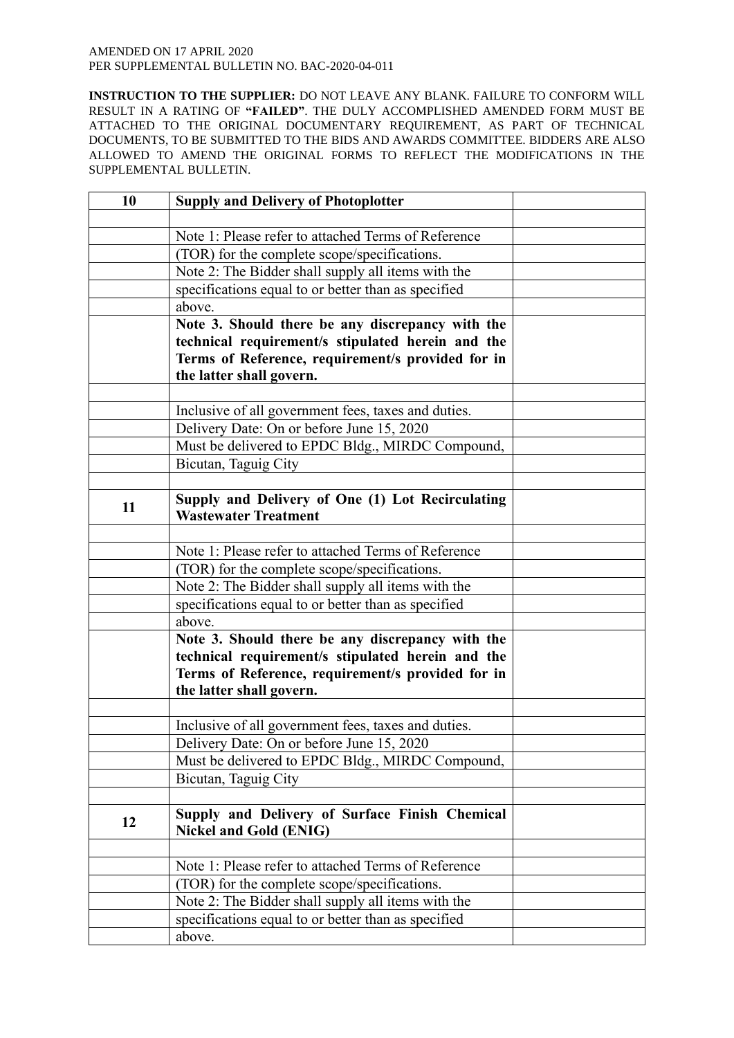| 10 | <b>Supply and Delivery of Photoplotter</b>                                                                                                                                             |  |
|----|----------------------------------------------------------------------------------------------------------------------------------------------------------------------------------------|--|
|    |                                                                                                                                                                                        |  |
|    | Note 1: Please refer to attached Terms of Reference                                                                                                                                    |  |
|    | (TOR) for the complete scope/specifications.                                                                                                                                           |  |
|    | Note 2: The Bidder shall supply all items with the                                                                                                                                     |  |
|    | specifications equal to or better than as specified                                                                                                                                    |  |
|    | above.                                                                                                                                                                                 |  |
|    | Note 3. Should there be any discrepancy with the<br>technical requirement/s stipulated herein and the<br>Terms of Reference, requirement/s provided for in<br>the latter shall govern. |  |
|    |                                                                                                                                                                                        |  |
|    | Inclusive of all government fees, taxes and duties.                                                                                                                                    |  |
|    | Delivery Date: On or before June 15, 2020                                                                                                                                              |  |
|    | Must be delivered to EPDC Bldg., MIRDC Compound,                                                                                                                                       |  |
|    | Bicutan, Taguig City                                                                                                                                                                   |  |
|    |                                                                                                                                                                                        |  |
| 11 | Supply and Delivery of One (1) Lot Recirculating<br><b>Wastewater Treatment</b>                                                                                                        |  |
|    |                                                                                                                                                                                        |  |
|    | Note 1: Please refer to attached Terms of Reference                                                                                                                                    |  |
|    | (TOR) for the complete scope/specifications.                                                                                                                                           |  |
|    | Note 2: The Bidder shall supply all items with the                                                                                                                                     |  |
|    | specifications equal to or better than as specified                                                                                                                                    |  |
|    | above.                                                                                                                                                                                 |  |
|    | Note 3. Should there be any discrepancy with the<br>technical requirement/s stipulated herein and the<br>Terms of Reference, requirement/s provided for in<br>the latter shall govern. |  |
|    |                                                                                                                                                                                        |  |
|    | Inclusive of all government fees, taxes and duties.<br>Delivery Date: On or before June 15, 2020                                                                                       |  |
|    | Must be delivered to EPDC Bldg., MIRDC Compound,                                                                                                                                       |  |
|    | Bicutan, Taguig City                                                                                                                                                                   |  |
|    |                                                                                                                                                                                        |  |
| 12 | Supply and Delivery of Surface Finish Chemical<br><b>Nickel and Gold (ENIG)</b>                                                                                                        |  |
|    |                                                                                                                                                                                        |  |
|    | Note 1: Please refer to attached Terms of Reference                                                                                                                                    |  |
|    | (TOR) for the complete scope/specifications.                                                                                                                                           |  |
|    | Note 2: The Bidder shall supply all items with the                                                                                                                                     |  |
|    | specifications equal to or better than as specified                                                                                                                                    |  |
|    | above.                                                                                                                                                                                 |  |